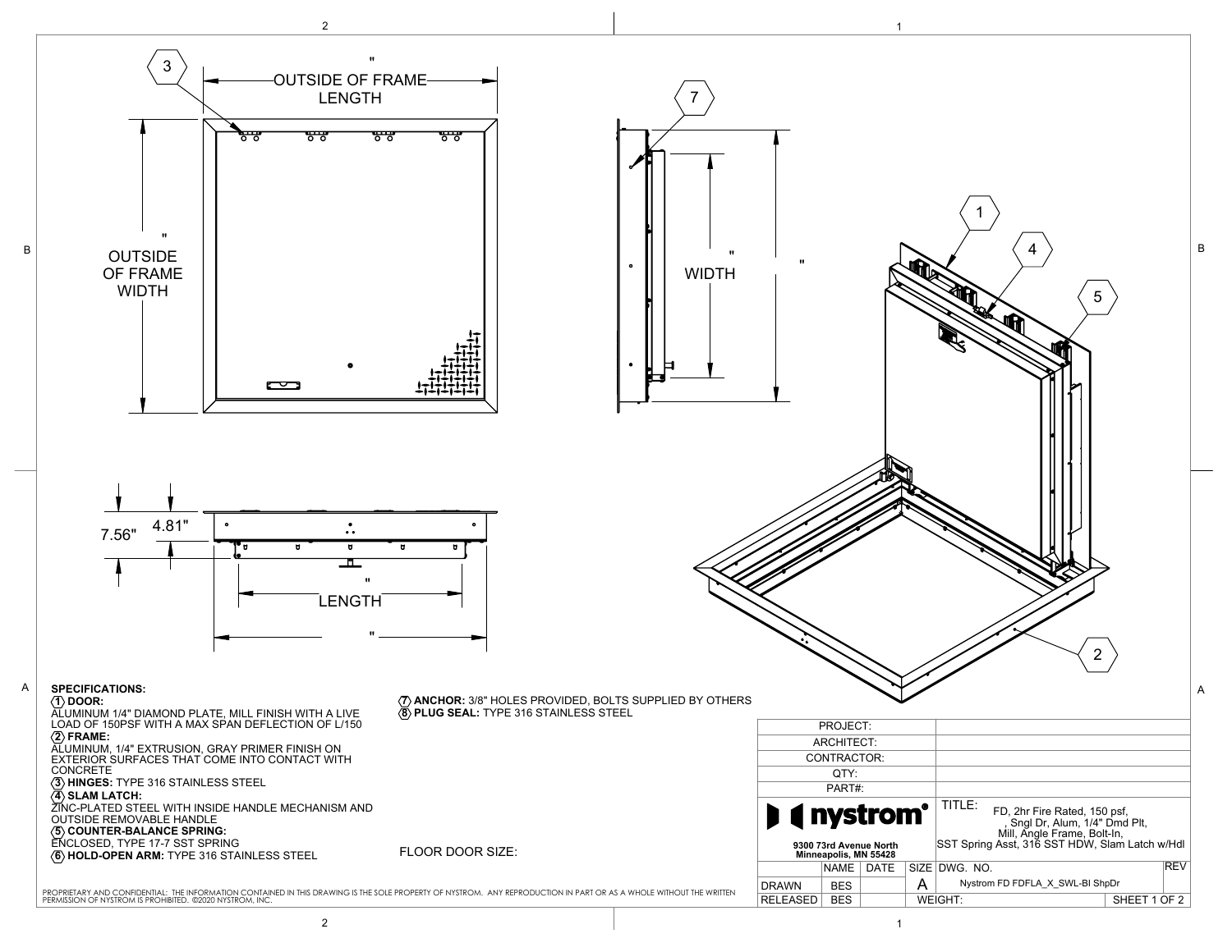

2 and  $\overline{1}$  1